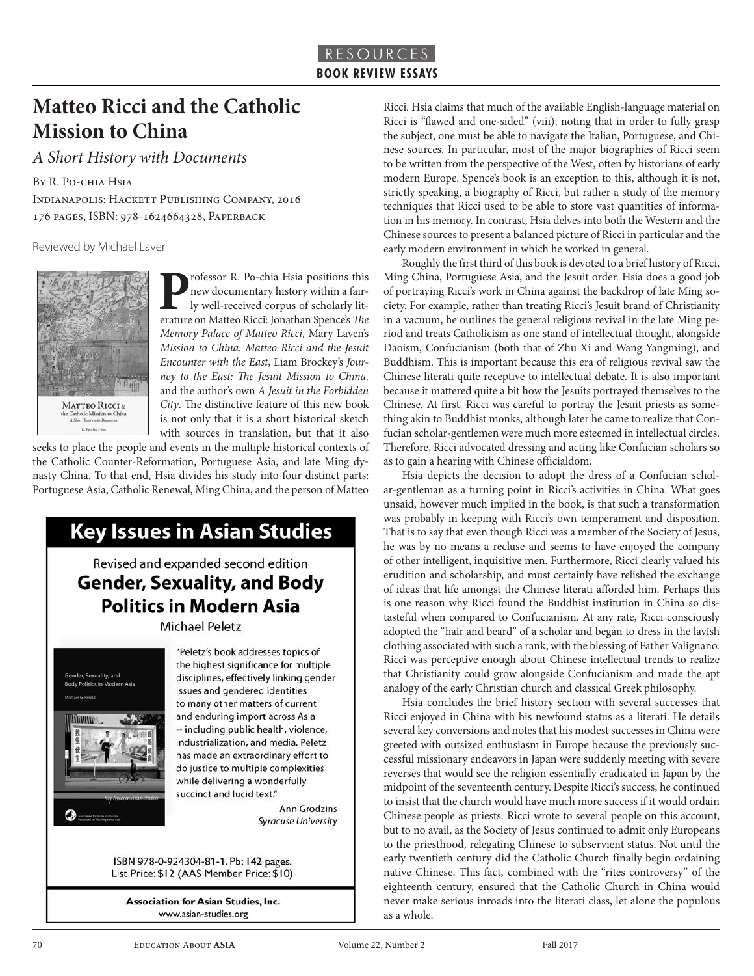### **Matteo Ricci and the Catholic Mission to China**

*A Short History with Documents* 

By R. Po-chia Hsia Indianapolis: Hackett Publishing Company, 2016 176 pages, ISBN: 978-1624664328, Paperback

Reviewed by Michael Laver



**P**rofessor R. Po-chia Hsia positions this<br>new documentary history within a fair-<br>ly well-received corpus of scholarly literature on Matteo Ricci: Ionathan Spence's The new documentary history within a fairly well-received corpus of scholarly literature on Matteo Ricci: Jonathan Spence's *The Memory Palace of Matteo Ricci,* Mary Laven's *Mission to China: Matteo Ricci and the Jesuit Encounter with the East*, Liam Brockey's *Journey to the East: The Jesuit Mission to China,*  and the author's own *A Jesuit in the Forbidden City*. The distinctive feature of this new book is not only that it is a short historical sketch with sources in translation, but that it also

seeks to place the people and events in the multiple historical contexts of the Catholic Counter-Reformation, Portuguese Asia, and late Ming dynasty China. To that end, Hsia divides his study into four distinct parts: Portuguese Asia, Catholic Renewal, Ming China, and the person of Matteo



**Michael Peletz** 



"Peletz's book addresses topics of the highest significance for multiple disciplines, effectively linking gender issues and gendered identities to many other matters of current and enduring import across Asia -- including public health, violence, industrialization, and media. Peletz has made an extraordinary effort to do justice to multiple complexities while delivering a wonderfully succinct and lucid text."

> **Ann Grodzins Syracuse University**

ISBN 978-0-924304-81-1. Pb: 142 pages. List Price: \$12 (AAS Member Price: \$10)

**Association for Asian Studies, Inc.** www.asian-studies.org

Ricci. Hsia claims that much of the available English-language material on Ricci is "flawed and one-sided" (viii), noting that in order to fully grasp the subject, one must be able to navigate the Italian, Portuguese, and Chinese sources. In particular, most of the major biographies of Ricci seem to be written from the perspective of the West, often by historians of early modern Europe. Spence's book is an exception to this, although it is not, strictly speaking, a biography of Ricci, but rather a study of the memory techniques that Ricci used to be able to store vast quantities of information in his memory. In contrast, Hsia delves into both the Western and the Chinese sources to present a balanced picture of Ricci in particular and the early modern environment in which he worked in general.

Roughly the first third of this book is devoted to a brief history of Ricci, Ming China, Portuguese Asia, and the Jesuit order. Hsia does a good job of portraying Ricci's work in China against the backdrop of late Ming society. For example, rather than treating Ricci's Jesuit brand of Christianity in a vacuum, he outlines the general religious revival in the late Ming period and treats Catholicism as one stand of intellectual thought, alongside Daoism, Confucianism (both that of Zhu Xi and Wang Yangming), and Buddhism. This is important because this era of religious revival saw the Chinese literati quite receptive to intellectual debate. It is also important because it mattered quite a bit how the Jesuits portrayed themselves to the Chinese. At first, Ricci was careful to portray the Jesuit priests as something akin to Buddhist monks, although later he came to realize that Confucian scholar-gentlemen were much more esteemed in intellectual circles. Therefore, Ricci advocated dressing and acting like Confucian scholars so as to gain a hearing with Chinese officialdom.

Hsia depicts the decision to adopt the dress of a Confucian scholar-gentleman as a turning point in Ricci's activities in China. What goes unsaid, however much implied in the book, is that such a transformation was probably in keeping with Ricci's own temperament and disposition. That is to say that even though Ricci was a member of the Society of Jesus, he was by no means a recluse and seems to have enjoyed the company of other intelligent, inquisitive men. Furthermore, Ricci clearly valued his erudition and scholarship, and must certainly have relished the exchange of ideas that life amongst the Chinese literati afforded him. Perhaps this is one reason why Ricci found the Buddhist institution in China so distasteful when compared to Confucianism. At any rate, Ricci consciously adopted the "hair and beard" of a scholar and began to dress in the lavish clothing associated with such a rank, with the blessing of Father Valignano. Ricci was perceptive enough about Chinese intellectual trends to realize that Christianity could grow alongside Confucianism and made the apt analogy of the early Christian church and classical Greek philosophy.

Hsia concludes the brief history section with several successes that Ricci enjoyed in China with his newfound status as a literati. He details several key conversions and notes that his modest successes in China were greeted with outsized enthusiasm in Europe because the previously successful missionary endeavors in Japan were suddenly meeting with severe reverses that would see the religion essentially eradicated in Japan by the midpoint of the seventeenth century. Despite Ricci's success, he continued to insist that the church would have much more success if it would ordain Chinese people as priests. Ricci wrote to several people on this account, but to no avail, as the Society of Jesus continued to admit only Europeans to the priesthood, relegating Chinese to subservient status. Not until the early twentieth century did the Catholic Church finally begin ordaining native Chinese. This fact, combined with the "rites controversy" of the eighteenth century, ensured that the Catholic Church in China would never make serious inroads into the literati class, let alone the populous as a whole.